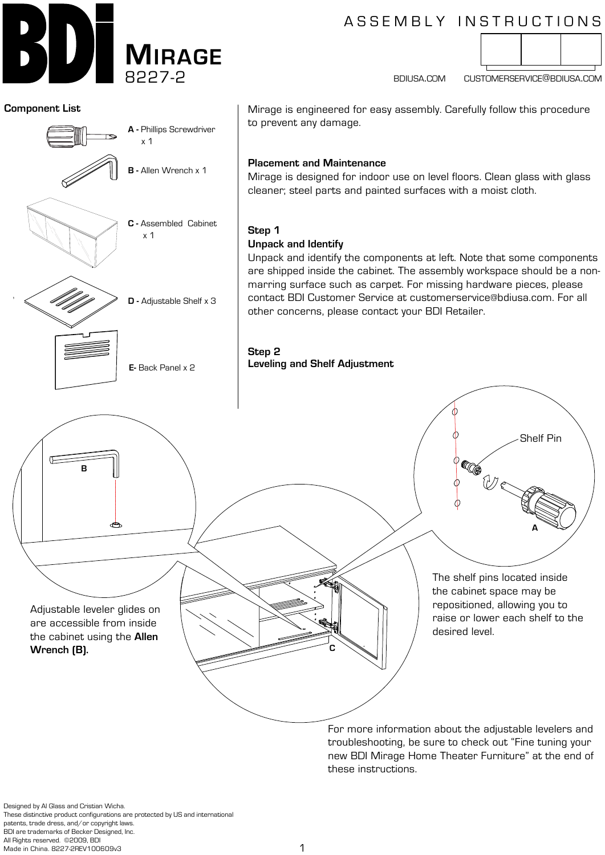

# ASSEMBLY INSTRUCTIONS



bdiusa.com customerservice@bdiusa.com



Designed by Al Glass and Cristian Wicha. These distinctive product configurations are protected by US and international patents, trade dress, and/or copyright laws. BDI are trademarks of Becker Designed, Inc. All Rights reserved. ©2009, BDI Made in China. 8227-2REV100609v3

these instructions.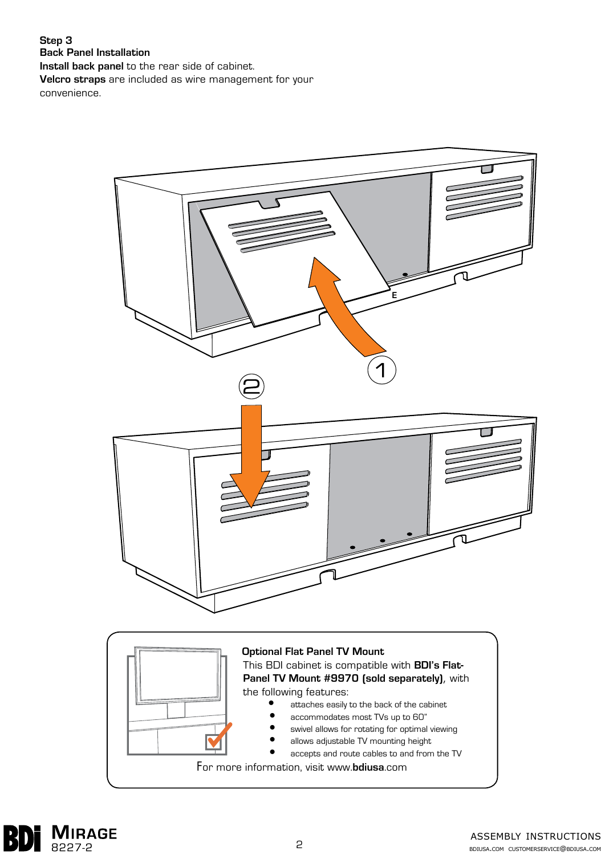#### **Step 3 Back Panel Installation**

**Install back panel** to the rear side of cabinet.

**Velcro straps** are included as wire management for your convenience.



For more information, visit www.**bdiusa**.com